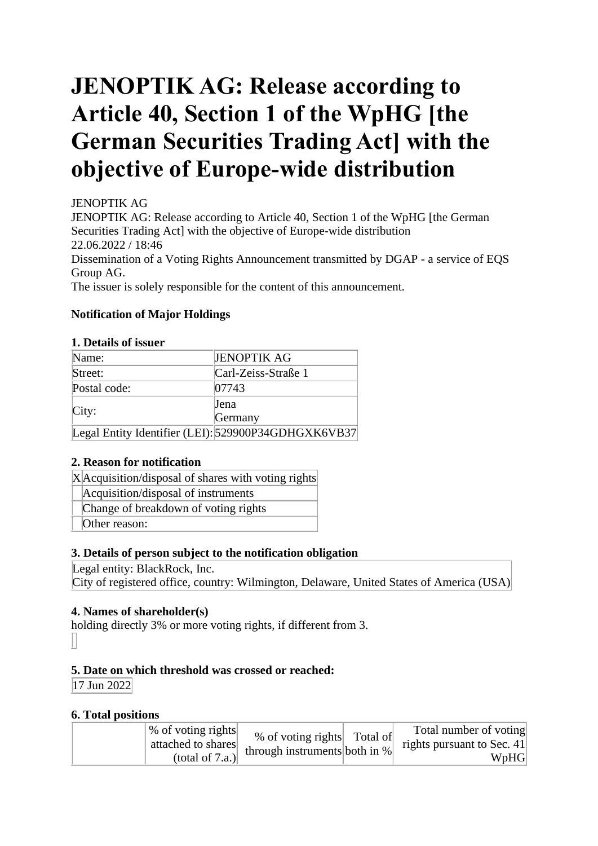# **JENOPTIK AG: Release according to Article 40, Section 1 of the WpHG [the German Securities Trading Act] with the objective of Europe-wide distribution**

# JENOPTIK AG

JENOPTIK AG: Release according to Article 40, Section 1 of the WpHG [the German Securities Trading Act] with the objective of Europe-wide distribution 22.06.2022 / 18:46 Dissemination of a Voting Rights Announcement transmitted by DGAP - a service of EQS Group AG.

The issuer is solely responsible for the content of this announcement.

# **Notification of Major Holdings**

## **1. Details of issuer**

| Name:        | <b>JENOPTIK AG</b>                                  |
|--------------|-----------------------------------------------------|
| Street:      | Carl-Zeiss-Straße 1                                 |
| Postal code: | 07743                                               |
|              | <b>Jena</b>                                         |
| City:        | Germany                                             |
|              | Legal Entity Identifier (LEI): 529900P34GDHGXK6VB37 |

# **2. Reason for notification**

X Acquisition/disposal of shares with voting rights

Acquisition/disposal of instruments

Change of breakdown of voting rights

Other reason:

# **3. Details of person subject to the notification obligation**

Legal entity: BlackRock, Inc.

City of registered office, country: Wilmington, Delaware, United States of America (USA)

# **4. Names of shareholder(s)**

holding directly 3% or more voting rights, if different from 3.

# **5. Date on which threshold was crossed or reached:**

17 Jun 2022

# **6. Total positions**

| % of voting rights<br>% of voting rights Total of<br>attached to shares<br>through instruments both in $%$<br>(total of $7.a.$ ) | Total number of voting<br>rights pursuant to Sec. 41<br>WpHG |
|----------------------------------------------------------------------------------------------------------------------------------|--------------------------------------------------------------|
|----------------------------------------------------------------------------------------------------------------------------------|--------------------------------------------------------------|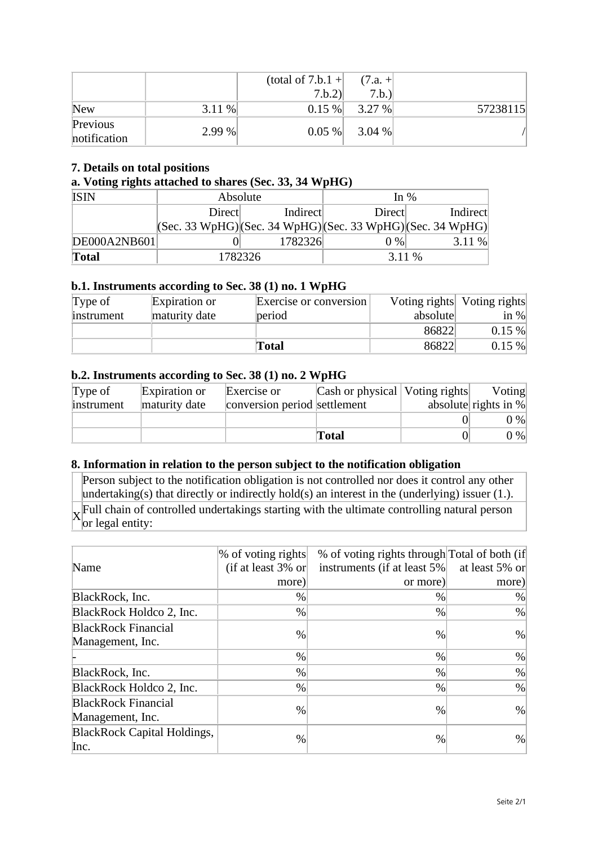|                          |        | (total of $7.b.1 +$<br>7.b.2 | $(7.a. +$<br>7.b.) |          |
|--------------------------|--------|------------------------------|--------------------|----------|
| <b>New</b>               | 3.11 % | 0.15%                        | 3.27 %             | 57238115 |
| Previous<br>notification | 2.99%  | $0.05\%$                     | 3.04 %             |          |

## **7. Details on total positions**

#### **a. Voting rights attached to shares (Sec. 33, 34 WpHG)**

| <b>ISIN</b>  | Absolute                                                                                |         | In $%$ |          |  |
|--------------|-----------------------------------------------------------------------------------------|---------|--------|----------|--|
|              | Indirect<br>Direct                                                                      |         | Direct | Indirect |  |
|              | $ ({\rm Sec. 33 WpHG}) ({\rm Sec. 34 WpHG}) ({\rm Sec. 33 WpHG}) ({\rm Sec. 34 WpHG}) $ |         |        |          |  |
| DE000A2NB601 |                                                                                         | 1782326 | $0\%$  | 3.11%    |  |
| <b>Total</b> |                                                                                         | 1782326 | 3.11 % |          |  |

#### **b.1. Instruments according to Sec. 38 (1) no. 1 WpHG**

| Type of    | Expiration or | Exercise or conversion |          | Voting rights Voting rights |
|------------|---------------|------------------------|----------|-----------------------------|
| instrument | maturity date | period                 | absolute | in $\%$                     |
|            |               |                        | 86822    | 0.15%                       |
|            |               | Total                  | 86822    | 0.15%                       |

#### **b.2. Instruments according to Sec. 38 (1) no. 2 WpHG**

| Type of    | Expiration or | Exercise or                  | Cash or physical   Voting rights | Voting                  |
|------------|---------------|------------------------------|----------------------------------|-------------------------|
| instrument | maturity date | conversion period settlement |                                  | absolute rights in $\%$ |
|            |               |                              |                                  | $0\%$                   |
|            |               |                              | <b>Total</b>                     | $0\%$                   |

#### **8. Information in relation to the person subject to the notification obligation**

Person subject to the notification obligation is not controlled nor does it control any other undertaking(s) that directly or indirectly hold(s) an interest in the (underlying) issuer (1.). X Full chain of controlled undertakings starting with the ultimate controlling natural person or legal entity:

|                                    | % of voting rights    | % of voting rights through Total of both (if |                |
|------------------------------------|-----------------------|----------------------------------------------|----------------|
| Name                               | (if at least $3\%$ or | instruments (if at least 5%)                 | at least 5% or |
|                                    | more)                 | or more)                                     | more)          |
| BlackRock, Inc.                    | $\%$                  | $\%$                                         | %              |
| BlackRock Holdco 2, Inc.           | %                     | $\%$                                         | %              |
| <b>BlackRock Financial</b>         | $\frac{0}{0}$         | $\%$                                         | $\%$           |
| Management, Inc.                   |                       |                                              |                |
|                                    | $\%$                  | $\%$                                         | $\%$           |
| BlackRock, Inc.                    | $\%$                  | $\%$                                         | $\%$           |
| BlackRock Holdco 2, Inc.           | $\%$                  | $\%$                                         | $\%$           |
| <b>BlackRock Financial</b>         | $\%$                  | $\%$                                         | $\%$           |
| Management, Inc.                   |                       |                                              |                |
| <b>BlackRock Capital Holdings,</b> | $\%$                  | $\%$                                         | $\%$           |
| Inc.                               |                       |                                              |                |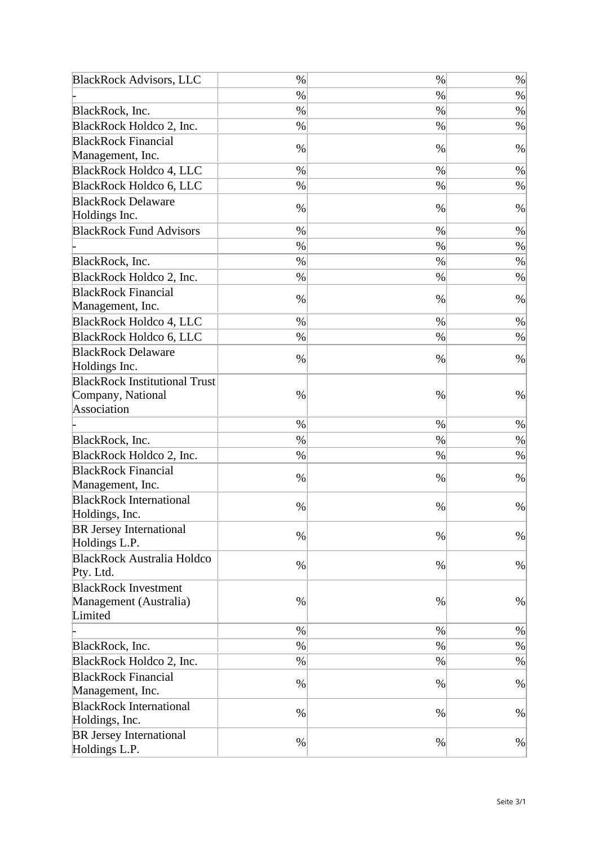| <b>BlackRock Advisors, LLC</b>       | $\%$ | $\%$ | $\%$ |
|--------------------------------------|------|------|------|
|                                      | $\%$ | $\%$ | $\%$ |
| BlackRock, Inc.                      | $\%$ | $\%$ | $\%$ |
| BlackRock Holdco 2, Inc.             | $\%$ | $\%$ | $\%$ |
| <b>BlackRock Financial</b>           |      |      |      |
| Management, Inc.                     | $\%$ | $\%$ | $\%$ |
| <b>BlackRock Holdco 4, LLC</b>       | $\%$ | $\%$ | %    |
| <b>BlackRock Holdco 6, LLC</b>       | $\%$ | $\%$ | $\%$ |
| <b>BlackRock Delaware</b>            |      |      |      |
| Holdings Inc.                        | $\%$ | $\%$ | $\%$ |
| <b>BlackRock Fund Advisors</b>       | $\%$ | %    | $\%$ |
|                                      | $\%$ | $\%$ | $\%$ |
| BlackRock, Inc.                      | $\%$ | $\%$ | $\%$ |
| BlackRock Holdco 2, Inc.             | $\%$ | $\%$ | $\%$ |
| <b>BlackRock Financial</b>           |      |      |      |
| Management, Inc.                     | $\%$ | $\%$ | $\%$ |
| <b>BlackRock Holdco 4, LLC</b>       | $\%$ | $\%$ | $\%$ |
| <b>BlackRock Holdco 6, LLC</b>       | $\%$ | %    | $\%$ |
| <b>BlackRock Delaware</b>            |      |      |      |
| Holdings Inc.                        | $\%$ | $\%$ | $\%$ |
| <b>BlackRock Institutional Trust</b> |      |      |      |
| Company, National                    | $\%$ | $\%$ | $\%$ |
| Association                          |      |      |      |
|                                      | $\%$ | $\%$ | $\%$ |
| BlackRock, Inc.                      | $\%$ | $\%$ | $\%$ |
| BlackRock Holdco 2, Inc.             | $\%$ | $\%$ | $\%$ |
| <b>BlackRock Financial</b>           |      |      |      |
| Management, Inc.                     | %    | %    | $\%$ |
| <b>BlackRock International</b>       | $\%$ | %    | $\%$ |
| Holdings, Inc.                       |      |      |      |
| <b>BR</b> Jersey International       | $\%$ | $\%$ | $\%$ |
| Holdings L.P.                        |      |      |      |
| <b>BlackRock Australia Holdco</b>    | $\%$ | $\%$ | $\%$ |
| Pty. Ltd.                            |      |      |      |
| <b>BlackRock Investment</b>          |      |      |      |
| Management (Australia)               | $\%$ | $\%$ | $\%$ |
| Limited                              |      |      |      |
|                                      | $\%$ | $\%$ | $\%$ |
| BlackRock, Inc.                      | $\%$ | $\%$ | $\%$ |
| BlackRock Holdco 2, Inc.             | $\%$ | $\%$ | $\%$ |
| <b>BlackRock Financial</b>           | $\%$ | $\%$ | $\%$ |
| Management, Inc.                     |      |      |      |
| <b>BlackRock International</b>       | $\%$ | $\%$ | %    |
| Holdings, Inc.                       |      |      |      |
| <b>BR</b> Jersey International       | $\%$ | $\%$ | $\%$ |
| Holdings L.P.                        |      |      |      |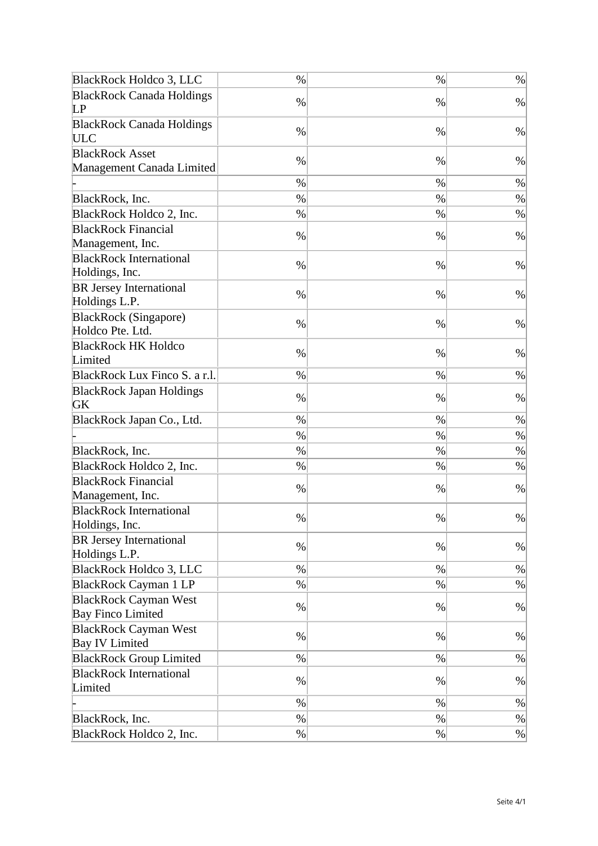| <b>BlackRock Holdco 3, LLC</b>                   | $\%$ | $\%$ | $\%$ |
|--------------------------------------------------|------|------|------|
| <b>BlackRock Canada Holdings</b>                 | $\%$ | $\%$ | $\%$ |
| LP                                               |      |      |      |
| <b>BlackRock Canada Holdings</b><br><b>ULC</b>   | $\%$ | $\%$ | $\%$ |
| <b>BlackRock Asset</b>                           | $\%$ | $\%$ | $\%$ |
| Management Canada Limited                        |      |      |      |
|                                                  | $\%$ | $\%$ | $\%$ |
| BlackRock, Inc.                                  | $\%$ | $\%$ | $\%$ |
| BlackRock Holdco 2, Inc.                         | $\%$ | $\%$ | $\%$ |
| <b>BlackRock Financial</b>                       | $\%$ | $\%$ | $\%$ |
| Management, Inc.                                 |      |      |      |
| <b>BlackRock International</b>                   | $\%$ | $\%$ | $\%$ |
| Holdings, Inc.                                   |      |      |      |
| <b>BR</b> Jersey International<br>Holdings L.P.  | $\%$ | $\%$ | $\%$ |
| <b>BlackRock</b> (Singapore)<br>Holdco Pte. Ltd. | $\%$ | $\%$ | $\%$ |
| <b>BlackRock HK Holdco</b><br>Limited            | $\%$ | $\%$ | $\%$ |
| BlackRock Lux Finco S. a r.l.                    | $\%$ | $\%$ | $\%$ |
| <b>BlackRock Japan Holdings</b><br>GK            | $\%$ | $\%$ | $\%$ |
| BlackRock Japan Co., Ltd.                        | $\%$ | $\%$ | $\%$ |
|                                                  | $\%$ | $\%$ | $\%$ |
| BlackRock, Inc.                                  | $\%$ | $\%$ | $\%$ |
| BlackRock Holdco 2, Inc.                         | $\%$ | %    | $\%$ |
| <b>BlackRock Financial</b>                       |      |      |      |
| Management, Inc.                                 | $\%$ | $\%$ | $\%$ |
| <b>BlackRock International</b><br>Holdings, Inc. | $\%$ | $\%$ | $\%$ |
| <b>BR</b> Jersey International<br>Holdings L.P.  | $\%$ | $\%$ | $\%$ |
| BlackRock Holdco 3, LLC                          | $\%$ | $\%$ | $\%$ |
| <b>BlackRock Cayman 1 LP</b>                     | $\%$ | $\%$ | $\%$ |
| <b>BlackRock Cayman West</b>                     |      |      |      |
| <b>Bay Finco Limited</b>                         | $\%$ | $\%$ | $\%$ |
| <b>BlackRock Cayman West</b>                     |      |      |      |
| <b>Bay IV Limited</b>                            | $\%$ | $\%$ | $\%$ |
| <b>BlackRock Group Limited</b>                   | $\%$ | %    | $\%$ |
| <b>BlackRock International</b>                   |      |      |      |
| Limited                                          | $\%$ | $\%$ | $\%$ |
|                                                  | $\%$ | $\%$ | $\%$ |
| BlackRock, Inc.                                  | $\%$ | $\%$ | $\%$ |
| BlackRock Holdco 2, Inc.                         | $\%$ | $\%$ | $\%$ |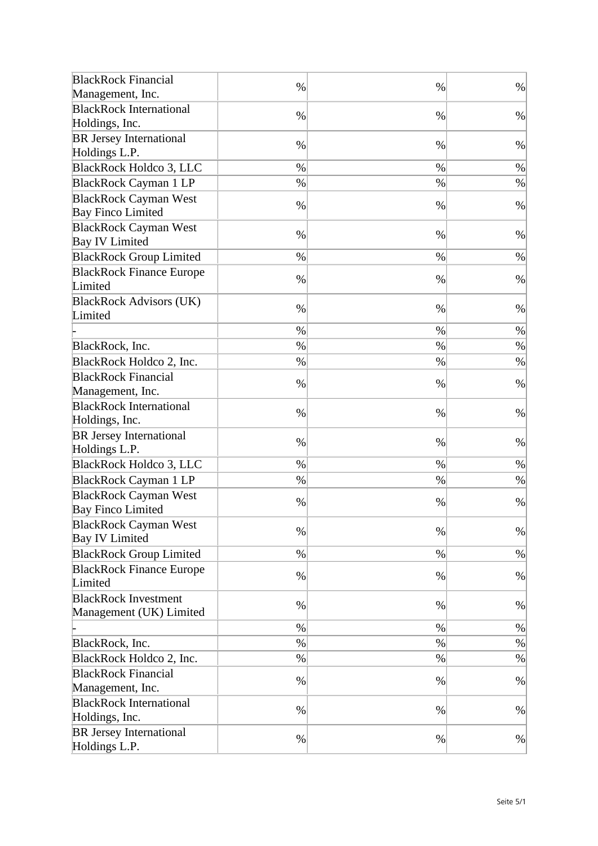| <b>BlackRock Financial</b>                               | $\%$ | $\%$ | $\%$ |
|----------------------------------------------------------|------|------|------|
| Management, Inc.                                         |      |      |      |
| <b>BlackRock International</b>                           | $\%$ | $\%$ | $\%$ |
| Holdings, Inc.                                           |      |      |      |
| <b>BR Jersey International</b><br>Holdings L.P.          | $\%$ | $\%$ | $\%$ |
| BlackRock Holdco 3, LLC                                  | $\%$ | $\%$ | $\%$ |
| <b>BlackRock Cayman 1 LP</b>                             | $\%$ | %    | $\%$ |
| <b>BlackRock Cayman West</b><br><b>Bay Finco Limited</b> | $\%$ | $\%$ | $\%$ |
| <b>BlackRock Cayman West</b><br><b>Bay IV Limited</b>    | $\%$ | $\%$ | $\%$ |
| <b>BlackRock Group Limited</b>                           | $\%$ | $\%$ | $\%$ |
| <b>BlackRock Finance Europe</b><br>Limited               | %    | %    | $\%$ |
| <b>BlackRock Advisors (UK)</b><br>Limited                | $\%$ | $\%$ | $\%$ |
|                                                          | $\%$ | $\%$ | $\%$ |
| BlackRock, Inc.                                          | $\%$ | $\%$ | $\%$ |
| BlackRock Holdco 2, Inc.                                 | $\%$ | $\%$ | $\%$ |
| <b>BlackRock Financial</b>                               | $\%$ | $\%$ | $\%$ |
| Management, Inc.                                         |      |      |      |
| <b>BlackRock International</b><br>Holdings, Inc.         | $\%$ | $\%$ | $\%$ |
| <b>BR</b> Jersey International<br>Holdings L.P.          | $\%$ | $\%$ | $\%$ |
| <b>BlackRock Holdco 3, LLC</b>                           | $\%$ | $\%$ | $\%$ |
| <b>BlackRock Cayman 1 LP</b>                             | $\%$ | $\%$ | $\%$ |
| <b>BlackRock Cayman West</b><br><b>Bay Finco Limited</b> | %    | %    | $\%$ |
| <b>BlackRock Cayman West</b><br><b>Bay IV Limited</b>    | $\%$ | %    | $\%$ |
| <b>BlackRock Group Limited</b>                           | $\%$ | $\%$ | $\%$ |
| <b>BlackRock Finance Europe</b><br>Limited               | $\%$ | %    | $\%$ |
| <b>BlackRock Investment</b><br>Management (UK) Limited   | $\%$ | $\%$ | %    |
|                                                          | $\%$ | $\%$ | $\%$ |
| BlackRock, Inc.                                          | $\%$ | $\%$ | $\%$ |
| BlackRock Holdco 2, Inc.                                 | $\%$ | $\%$ | $\%$ |
| <b>BlackRock Financial</b><br>Management, Inc.           | $\%$ | $\%$ | $\%$ |
| <b>BlackRock International</b><br>Holdings, Inc.         | $\%$ | $\%$ | $\%$ |
| <b>BR</b> Jersey International<br>Holdings L.P.          | $\%$ | $\%$ | $\%$ |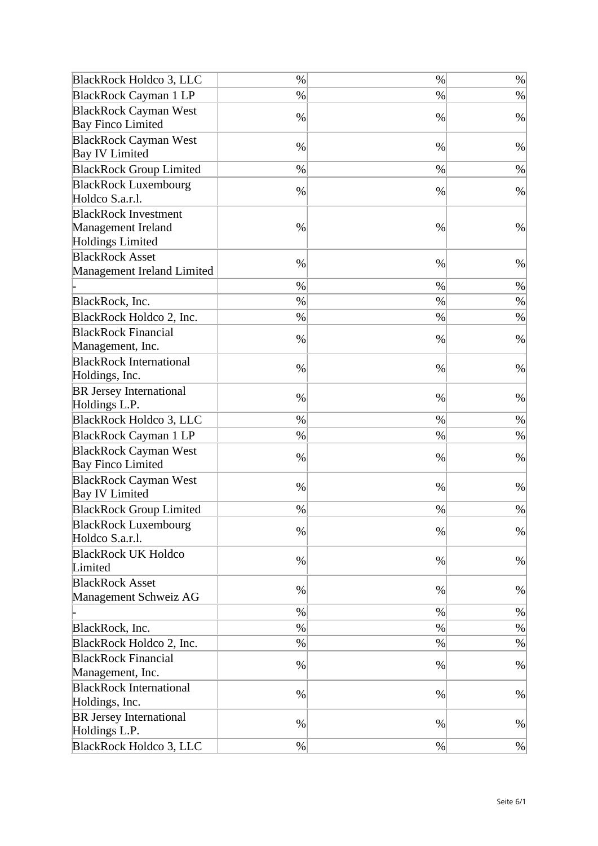| <b>BlackRock Holdco 3, LLC</b> | $\%$ | $\%$ | $\%$ |
|--------------------------------|------|------|------|
| <b>BlackRock Cayman 1 LP</b>   | $\%$ | $\%$ | $\%$ |
| <b>BlackRock Cayman West</b>   |      |      |      |
| <b>Bay Finco Limited</b>       | $\%$ | $\%$ | $\%$ |
| <b>BlackRock Cayman West</b>   | $\%$ |      |      |
| <b>Bay IV Limited</b>          |      | $\%$ | $\%$ |
| <b>BlackRock Group Limited</b> | $\%$ | $\%$ | $\%$ |
| <b>BlackRock Luxembourg</b>    | $\%$ | $\%$ | $\%$ |
| Holdco S.a.r.l.                |      |      |      |
| <b>BlackRock Investment</b>    |      |      |      |
| <b>Management Ireland</b>      | $\%$ | $\%$ | $\%$ |
| <b>Holdings Limited</b>        |      |      |      |
| <b>BlackRock Asset</b>         | $\%$ | $\%$ | $\%$ |
| Management Ireland Limited     |      |      |      |
|                                | $\%$ | $\%$ | $\%$ |
| BlackRock, Inc.                | $\%$ | $\%$ | $\%$ |
| BlackRock Holdco 2, Inc.       | $\%$ | $\%$ | $\%$ |
| <b>BlackRock Financial</b>     | $\%$ |      | $\%$ |
| Management, Inc.               |      | %    |      |
| <b>BlackRock International</b> | $\%$ | $\%$ | $\%$ |
| Holdings, Inc.                 |      |      |      |
| <b>BR</b> Jersey International | $\%$ | $\%$ | $\%$ |
| Holdings L.P.                  |      |      |      |
| <b>BlackRock Holdco 3, LLC</b> | $\%$ | $\%$ | $\%$ |
| <b>BlackRock Cayman 1 LP</b>   | $\%$ | %    | $\%$ |
| <b>BlackRock Cayman West</b>   | $\%$ |      | $\%$ |
| <b>Bay Finco Limited</b>       |      | %    |      |
| <b>BlackRock Cayman West</b>   | $\%$ | $\%$ | $\%$ |
| <b>Bay IV Limited</b>          |      |      |      |
| <b>BlackRock Group Limited</b> | $\%$ | %    | $\%$ |
| <b>BlackRock Luxembourg</b>    | $\%$ | %    | $\%$ |
| Holdco S.a.r.l.                |      |      |      |
| <b>BlackRock UK Holdco</b>     | $\%$ | $\%$ | $\%$ |
| Limited                        |      |      |      |
| <b>BlackRock Asset</b>         | $\%$ | $\%$ | $\%$ |
| Management Schweiz AG          |      |      |      |
|                                | $\%$ | $\%$ | $\%$ |
| BlackRock, Inc.                | $\%$ | $\%$ | $\%$ |
| BlackRock Holdco 2, Inc.       | $\%$ | $\%$ | $\%$ |
| <b>BlackRock Financial</b>     | $\%$ | $\%$ | $\%$ |
| Management, Inc.               |      |      |      |
| <b>BlackRock International</b> | $\%$ | $\%$ | $\%$ |
| Holdings, Inc.                 |      |      |      |
| <b>BR</b> Jersey International | $\%$ | $\%$ | $\%$ |
| Holdings L.P.                  |      |      |      |
| BlackRock Holdco 3, LLC        | $\%$ | $\%$ | $\%$ |